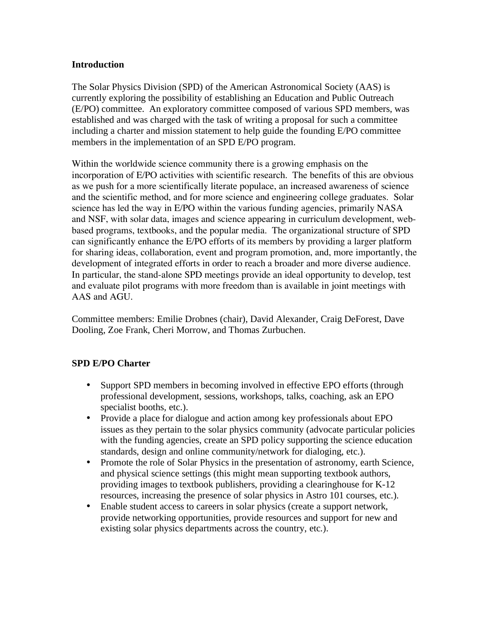#### **Introduction**

The Solar Physics Division (SPD) of the American Astronomical Society (AAS) is currently exploring the possibility of establishing an Education and Public Outreach (E/PO) committee. An exploratory committee composed of various SPD members, was established and was charged with the task of writing a proposal for such a committee including a charter and mission statement to help guide the founding E/PO committee members in the implementation of an SPD E/PO program.

Within the worldwide science community there is a growing emphasis on the incorporation of E/PO activities with scientific research. The benefits of this are obvious as we push for a more scientifically literate populace, an increased awareness of science and the scientific method, and for more science and engineering college graduates. Solar science has led the way in E/PO within the various funding agencies, primarily NASA and NSF, with solar data, images and science appearing in curriculum development, webbased programs, textbooks, and the popular media. The organizational structure of SPD can significantly enhance the E/PO efforts of its members by providing a larger platform for sharing ideas, collaboration, event and program promotion, and, more importantly, the development of integrated efforts in order to reach a broader and more diverse audience. In particular, the stand-alone SPD meetings provide an ideal opportunity to develop, test and evaluate pilot programs with more freedom than is available in joint meetings with AAS and AGU.

Committee members: Emilie Drobnes (chair), David Alexander, Craig DeForest, Dave Dooling, Zoe Frank, Cheri Morrow, and Thomas Zurbuchen.

# **SPD E/PO Charter**

- Support SPD members in becoming involved in effective EPO efforts (through professional development, sessions, workshops, talks, coaching, ask an EPO specialist booths, etc.).
- Provide a place for dialogue and action among key professionals about EPO issues as they pertain to the solar physics community (advocate particular policies with the funding agencies, create an SPD policy supporting the science education standards, design and online community/network for dialoging, etc.).
- Promote the role of Solar Physics in the presentation of astronomy, earth Science, and physical science settings (this might mean supporting textbook authors, providing images to textbook publishers, providing a clearinghouse for K-12 resources, increasing the presence of solar physics in Astro 101 courses, etc.).
- Enable student access to careers in solar physics (create a support network, provide networking opportunities, provide resources and support for new and existing solar physics departments across the country, etc.).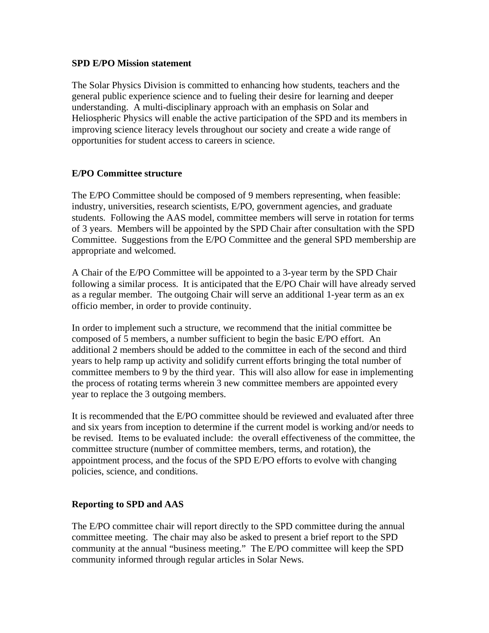#### **SPD E/PO Mission statement**

The Solar Physics Division is committed to enhancing how students, teachers and the general public experience science and to fueling their desire for learning and deeper understanding. A multi-disciplinary approach with an emphasis on Solar and Heliospheric Physics will enable the active participation of the SPD and its members in improving science literacy levels throughout our society and create a wide range of opportunities for student access to careers in science.

# **E/PO Committee structure**

The E/PO Committee should be composed of 9 members representing, when feasible: industry, universities, research scientists, E/PO, government agencies, and graduate students. Following the AAS model, committee members will serve in rotation for terms of 3 years. Members will be appointed by the SPD Chair after consultation with the SPD Committee. Suggestions from the E/PO Committee and the general SPD membership are appropriate and welcomed.

A Chair of the E/PO Committee will be appointed to a 3-year term by the SPD Chair following a similar process. It is anticipated that the E/PO Chair will have already served as a regular member. The outgoing Chair will serve an additional 1-year term as an ex officio member, in order to provide continuity.

In order to implement such a structure, we recommend that the initial committee be composed of 5 members, a number sufficient to begin the basic E/PO effort. An additional 2 members should be added to the committee in each of the second and third years to help ramp up activity and solidify current efforts bringing the total number of committee members to 9 by the third year. This will also allow for ease in implementing the process of rotating terms wherein 3 new committee members are appointed every year to replace the 3 outgoing members.

It is recommended that the E/PO committee should be reviewed and evaluated after three and six years from inception to determine if the current model is working and/or needs to be revised. Items to be evaluated include: the overall effectiveness of the committee, the committee structure (number of committee members, terms, and rotation), the appointment process, and the focus of the SPD E/PO efforts to evolve with changing policies, science, and conditions.

# **Reporting to SPD and AAS**

The E/PO committee chair will report directly to the SPD committee during the annual committee meeting. The chair may also be asked to present a brief report to the SPD community at the annual "business meeting." The E/PO committee will keep the SPD community informed through regular articles in Solar News.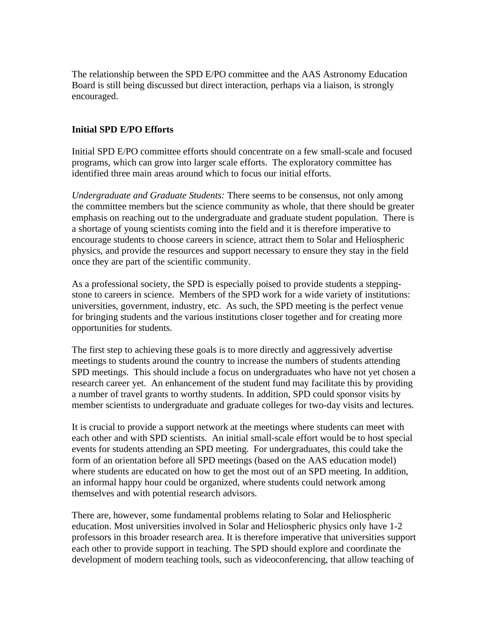The relationship between the SPD E/PO committee and the AAS Astronomy Education Board is still being discussed but direct interaction, perhaps via a liaison, is strongly encouraged.

#### **Initial SPD E/PO Efforts**

Initial SPD E/PO committee efforts should concentrate on a few small-scale and focused programs, which can grow into larger scale efforts. The exploratory committee has identified three main areas around which to focus our initial efforts.

*Undergraduate and Graduate Students:* There seems to be consensus, not only among the committee members but the science community as whole, that there should be greater emphasis on reaching out to the undergraduate and graduate student population. There is a shortage of young scientists coming into the field and it is therefore imperative to encourage students to choose careers in science, attract them to Solar and Heliospheric physics, and provide the resources and support necessary to ensure they stay in the field once they are part of the scientific community.

As a professional society, the SPD is especially poised to provide students a steppingstone to careers in science. Members of the SPD work for a wide variety of institutions: universities, government, industry, etc. As such, the SPD meeting is the perfect venue for bringing students and the various institutions closer together and for creating more opportunities for students.

The first step to achieving these goals is to more directly and aggressively advertise meetings to students around the country to increase the numbers of students attending SPD meetings. This should include a focus on undergraduates who have not yet chosen a research career yet. An enhancement of the student fund may facilitate this by providing a number of travel grants to worthy students. In addition, SPD could sponsor visits by member scientists to undergraduate and graduate colleges for two-day visits and lectures.

It is crucial to provide a support network at the meetings where students can meet with each other and with SPD scientists. An initial small-scale effort would be to host special events for students attending an SPD meeting. For undergraduates, this could take the form of an orientation before all SPD meetings (based on the AAS education model) where students are educated on how to get the most out of an SPD meeting. In addition, an informal happy hour could be organized, where students could network among themselves and with potential research advisors.

There are, however, some fundamental problems relating to Solar and Heliospheric education. Most universities involved in Solar and Heliospheric physics only have 1-2 professors in this broader research area. It is therefore imperative that universities support each other to provide support in teaching. The SPD should explore and coordinate the development of modern teaching tools, such as videoconferencing, that allow teaching of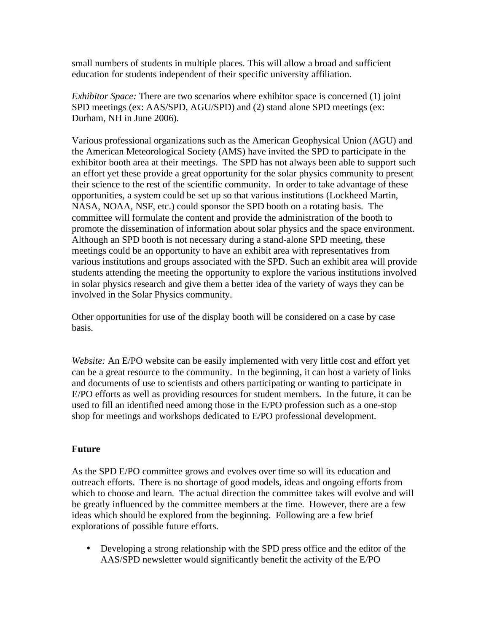small numbers of students in multiple places. This will allow a broad and sufficient education for students independent of their specific university affiliation.

*Exhibitor Space:* There are two scenarios where exhibitor space is concerned (1) joint SPD meetings (ex: AAS/SPD, AGU/SPD) and (2) stand alone SPD meetings (ex: Durham, NH in June 2006).

Various professional organizations such as the American Geophysical Union (AGU) and the American Meteorological Society (AMS) have invited the SPD to participate in the exhibitor booth area at their meetings. The SPD has not always been able to support such an effort yet these provide a great opportunity for the solar physics community to present their science to the rest of the scientific community. In order to take advantage of these opportunities, a system could be set up so that various institutions (Lockheed Martin, NASA, NOAA, NSF, etc.) could sponsor the SPD booth on a rotating basis. The committee will formulate the content and provide the administration of the booth to promote the dissemination of information about solar physics and the space environment. Although an SPD booth is not necessary during a stand-alone SPD meeting, these meetings could be an opportunity to have an exhibit area with representatives from various institutions and groups associated with the SPD. Such an exhibit area will provide students attending the meeting the opportunity to explore the various institutions involved in solar physics research and give them a better idea of the variety of ways they can be involved in the Solar Physics community.

Other opportunities for use of the display booth will be considered on a case by case basis.

*Website:* An E/PO website can be easily implemented with very little cost and effort yet can be a great resource to the community. In the beginning, it can host a variety of links and documents of use to scientists and others participating or wanting to participate in E/PO efforts as well as providing resources for student members. In the future, it can be used to fill an identified need among those in the E/PO profession such as a one-stop shop for meetings and workshops dedicated to E/PO professional development.

# **Future**

As the SPD E/PO committee grows and evolves over time so will its education and outreach efforts. There is no shortage of good models, ideas and ongoing efforts from which to choose and learn. The actual direction the committee takes will evolve and will be greatly influenced by the committee members at the time. However, there are a few ideas which should be explored from the beginning. Following are a few brief explorations of possible future efforts.

• Developing a strong relationship with the SPD press office and the editor of the AAS/SPD newsletter would significantly benefit the activity of the E/PO